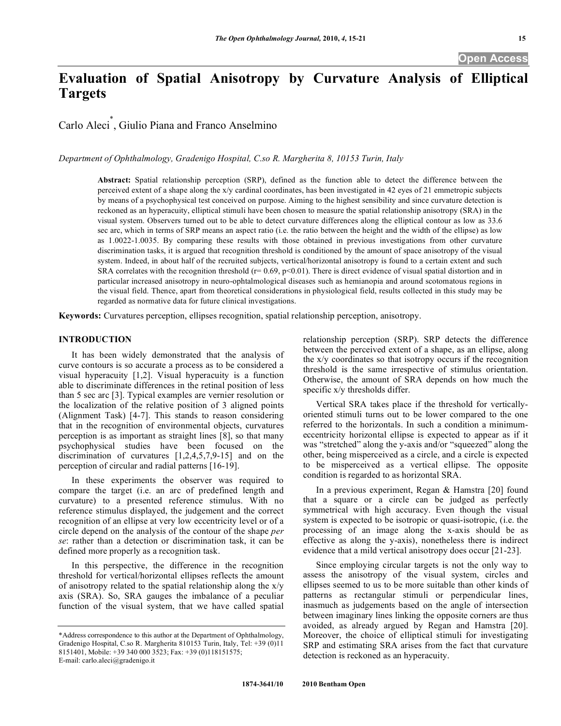# **Evaluation of Spatial Anisotropy by Curvature Analysis of Elliptical Targets**

Carlo Aleci\* , Giulio Piana and Franco Anselmino

*Department of Ophthalmology, Gradenigo Hospital, C.so R. Margherita 8, 10153 Turin, Italy* 

**Abstract:** Spatial relationship perception (SRP), defined as the function able to detect the difference between the perceived extent of a shape along the x/y cardinal coordinates, has been investigated in 42 eyes of 21 emmetropic subjects by means of a psychophysical test conceived on purpose. Aiming to the highest sensibility and since curvature detection is reckoned as an hyperacuity, elliptical stimuli have been chosen to measure the spatial relationship anisotropy (SRA) in the visual system. Observers turned out to be able to detect curvature differences along the elliptical contour as low as 33.6 sec arc, which in terms of SRP means an aspect ratio (i.e. the ratio between the height and the width of the ellipse) as low as 1.0022-1.0035. By comparing these results with those obtained in previous investigations from other curvature discrimination tasks, it is argued that recognition threshold is conditioned by the amount of space anisotropy of the visual system. Indeed, in about half of the recruited subjects, vertical/horizontal anisotropy is found to a certain extent and such SRA correlates with the recognition threshold ( $r= 0.69$ ,  $p<0.01$ ). There is direct evidence of visual spatial distortion and in particular increased anisotropy in neuro-ophtalmological diseases such as hemianopia and around scotomatous regions in the visual field. Thence, apart from theoretical considerations in physiological field, results collected in this study may be regarded as normative data for future clinical investigations.

**Keywords:** Curvatures perception, ellipses recognition, spatial relationship perception, anisotropy.

# **INTRODUCTION**

 It has been widely demonstrated that the analysis of curve contours is so accurate a process as to be considered a visual hyperacuity [1,2]. Visual hyperacuity is a function able to discriminate differences in the retinal position of less than 5 sec arc [3]. Typical examples are vernier resolution or the localization of the relative position of 3 aligned points (Alignment Task) [4-7]. This stands to reason considering that in the recognition of environmental objects, curvatures perception is as important as straight lines [8], so that many psychophysical studies have been focused on the discrimination of curvatures [1,2,4,5,7,9-15] and on the perception of circular and radial patterns [16-19].

 In these experiments the observer was required to compare the target (i.e. an arc of predefined length and curvature) to a presented reference stimulus. With no reference stimulus displayed, the judgement and the correct recognition of an ellipse at very low eccentricity level or of a circle depend on the analysis of the contour of the shape *per se*: rather than a detection or discrimination task, it can be defined more properly as a recognition task.

 In this perspective, the difference in the recognition threshold for vertical/horizontal ellipses reflects the amount of anisotropy related to the spatial relationship along the x/y axis (SRA). So, SRA gauges the imbalance of a peculiar function of the visual system, that we have called spatial

relationship perception (SRP). SRP detects the difference between the perceived extent of a shape, as an ellipse, along the x/y coordinates so that isotropy occurs if the recognition threshold is the same irrespective of stimulus orientation. Otherwise, the amount of SRA depends on how much the specific x/y thresholds differ.

 Vertical SRA takes place if the threshold for verticallyoriented stimuli turns out to be lower compared to the one referred to the horizontals. In such a condition a minimumeccentricity horizontal ellipse is expected to appear as if it was "stretched" along the y-axis and/or "squeezed" along the other, being misperceived as a circle, and a circle is expected to be misperceived as a vertical ellipse. The opposite condition is regarded to as horizontal SRA.

 In a previous experiment, Regan & Hamstra [20] found that a square or a circle can be judged as perfectly symmetrical with high accuracy. Even though the visual system is expected to be isotropic or quasi-isotropic, (i.e. the processing of an image along the x-axis should be as effective as along the y-axis), nonetheless there is indirect evidence that a mild vertical anisotropy does occur [21-23].

 Since employing circular targets is not the only way to assess the anisotropy of the visual system, circles and ellipses seemed to us to be more suitable than other kinds of patterns as rectangular stimuli or perpendicular lines, inasmuch as judgements based on the angle of intersection between imaginary lines linking the opposite corners are thus avoided, as already argued by Regan and Hamstra [20]. Moreover, the choice of elliptical stimuli for investigating SRP and estimating SRA arises from the fact that curvature detection is reckoned as an hyperacuity.

<sup>\*</sup>Address correspondence to this author at the Department of Ophthalmology, Gradenigo Hospital, C.so R. Margherita 810153 Turin, Italy, Tel: +39 (0)11 8151401, Mobile: +39 340 000 3523; Fax: +39 (0)118151575; E-mail: carlo.aleci@gradenigo.it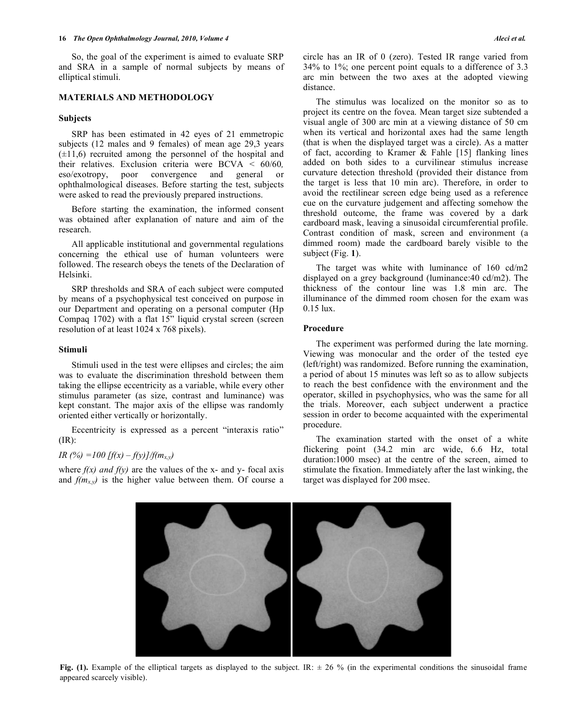#### **16**  *The Open Ophthalmology Journal, 2010, Volume 4 Aleci et al. <i>Aleci et al. Aleci et al.*

 So, the goal of the experiment is aimed to evaluate SRP and SRA in a sample of normal subjects by means of elliptical stimuli.

# **MATERIALS AND METHODOLOGY**

#### **Subjects**

 SRP has been estimated in 42 eyes of 21 emmetropic subjects (12 males and 9 females) of mean age 29,3 years  $(\pm 11, 6)$  recruited among the personnel of the hospital and their relatives. Exclusion criteria were BCVA < 60/60*,*  eso/exotropy, poor convergence and general or ophthalmological diseases. Before starting the test, subjects were asked to read the previously prepared instructions.

 Before starting the examination, the informed consent was obtained after explanation of nature and aim of the research.

 All applicable institutional and governmental regulations concerning the ethical use of human volunteers were followed. The research obeys the tenets of the Declaration of Helsinki.

 SRP thresholds and SRA of each subject were computed by means of a psychophysical test conceived on purpose in our Department and operating on a personal computer (Hp Compaq 1702) with a flat 15" liquid crystal screen (screen resolution of at least 1024 x 768 pixels).

### **Stimuli**

 Stimuli used in the test were ellipses and circles; the aim was to evaluate the discrimination threshold between them taking the ellipse eccentricity as a variable, while every other stimulus parameter (as size, contrast and luminance) was kept constant. The major axis of the ellipse was randomly oriented either vertically or horizontally.

 Eccentricity is expressed as a percent "interaxis ratio" (IR):

#### *IR* (%) =100 [f(x) – f(y)]/f( $m_{x,y}$ )

where  $f(x)$  and  $f(y)$  are the values of the x- and y- focal axis and  $f(m_{x,y})$  is the higher value between them. Of course a

circle has an IR of 0 (zero). Tested IR range varied from 34% to 1%; one percent point equals to a difference of 3.3 arc min between the two axes at the adopted viewing distance.

 The stimulus was localized on the monitor so as to project its centre on the fovea. Mean target size subtended a visual angle of 300 arc min at a viewing distance of 50 cm when its vertical and horizontal axes had the same length (that is when the displayed target was a circle). As a matter of fact, according to Kramer & Fahle [15] flanking lines added on both sides to a curvilinear stimulus increase curvature detection threshold (provided their distance from the target is less that 10 min arc). Therefore, in order to avoid the rectilinear screen edge being used as a reference cue on the curvature judgement and affecting somehow the threshold outcome, the frame was covered by a dark cardboard mask, leaving a sinusoidal circumferential profile. Contrast condition of mask, screen and environment (a dimmed room) made the cardboard barely visible to the subject (Fig. **1**).

 The target was white with luminance of 160 cd/m2 displayed on a grey background (luminance:40 cd/m2). The thickness of the contour line was 1.8 min arc. The illuminance of the dimmed room chosen for the exam was 0.15 lux.

#### **Procedure**

 The experiment was performed during the late morning. Viewing was monocular and the order of the tested eye (left/right) was randomized. Before running the examination, a period of about 15 minutes was left so as to allow subjects to reach the best confidence with the environment and the operator, skilled in psychophysics, who was the same for all the trials. Moreover, each subject underwent a practice session in order to become acquainted with the experimental procedure.

 The examination started with the onset of a white flickering point (34.2 min arc wide, 6.6 Hz, total duration:1000 msec) at the centre of the screen, aimed to stimulate the fixation. Immediately after the last winking, the target was displayed for 200 msec.

**Fig. (1).** Example of the elliptical targets as displayed to the subject. IR:  $\pm$  26 % (in the experimental conditions the sinusoidal frame appeared scarcely visible).

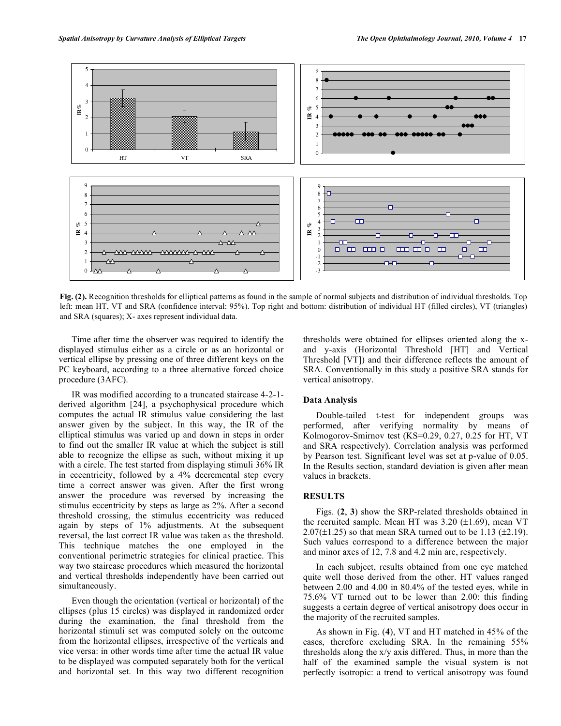

**Fig. (2).** Recognition thresholds for elliptical patterns as found in the sample of normal subjects and distribution of individual thresholds. Top left: mean HT, VT and SRA (confidence interval: 95%). Top right and bottom: distribution of individual HT (filled circles), VT (triangles) and SRA (squares); X- axes represent individual data.

 Time after time the observer was required to identify the displayed stimulus either as a circle or as an horizontal or vertical ellipse by pressing one of three different keys on the PC keyboard, according to a three alternative forced choice procedure (3AFC).

 IR was modified according to a truncated staircase 4-2-1 derived algorithm [24], a psychophysical procedure which computes the actual IR stimulus value considering the last answer given by the subject. In this way, the IR of the elliptical stimulus was varied up and down in steps in order to find out the smaller IR value at which the subject is still able to recognize the ellipse as such, without mixing it up with a circle. The test started from displaying stimuli 36% IR in eccentricity, followed by a 4% decremental step every time a correct answer was given. After the first wrong answer the procedure was reversed by increasing the stimulus eccentricity by steps as large as 2%. After a second threshold crossing, the stimulus eccentricity was reduced again by steps of 1% adjustments. At the subsequent reversal, the last correct IR value was taken as the threshold. This technique matches the one employed in the conventional perimetric strategies for clinical practice. This way two staircase procedures which measured the horizontal and vertical thresholds independently have been carried out simultaneously.

 Even though the orientation (vertical or horizontal) of the ellipses (plus 15 circles) was displayed in randomized order during the examination, the final threshold from the horizontal stimuli set was computed solely on the outcome from the horizontal ellipses, irrespective of the verticals and vice versa: in other words time after time the actual IR value to be displayed was computed separately both for the vertical and horizontal set. In this way two different recognition

thresholds were obtained for ellipses oriented along the xand y-axis (Horizontal Threshold [HT] and Vertical Threshold [VT]) and their difference reflects the amount of SRA. Conventionally in this study a positive SRA stands for vertical anisotropy.

### **Data Analysis**

 Double-tailed t-test for independent groups was performed, after verifying normality by means of Kolmogorov-Smirnov test (KS=0.29, 0.27, 0.25 for HT, VT and SRA respectively). Correlation analysis was performed by Pearson test. Significant level was set at p-value of 0.05. In the Results section, standard deviation is given after mean values in brackets.

# **RESULTS**

 Figs. (**2**, **3**) show the SRP-related thresholds obtained in the recruited sample. Mean HT was  $3.20$  ( $\pm$ 1.69), mean VT  $2.07(\pm 1.25)$  so that mean SRA turned out to be 1.13 ( $\pm 2.19$ ). Such values correspond to a difference between the major and minor axes of 12, 7.8 and 4.2 min arc, respectively.

 In each subject, results obtained from one eye matched quite well those derived from the other. HT values ranged between 2.00 and 4.00 in 80.4% of the tested eyes, while in 75.6% VT turned out to be lower than 2.00: this finding suggests a certain degree of vertical anisotropy does occur in the majority of the recruited samples.

 As shown in Fig. (**4**), VT and HT matched in 45% of the cases, therefore excluding SRA. In the remaining 55% thresholds along the x/y axis differed. Thus, in more than the half of the examined sample the visual system is not perfectly isotropic: a trend to vertical anisotropy was found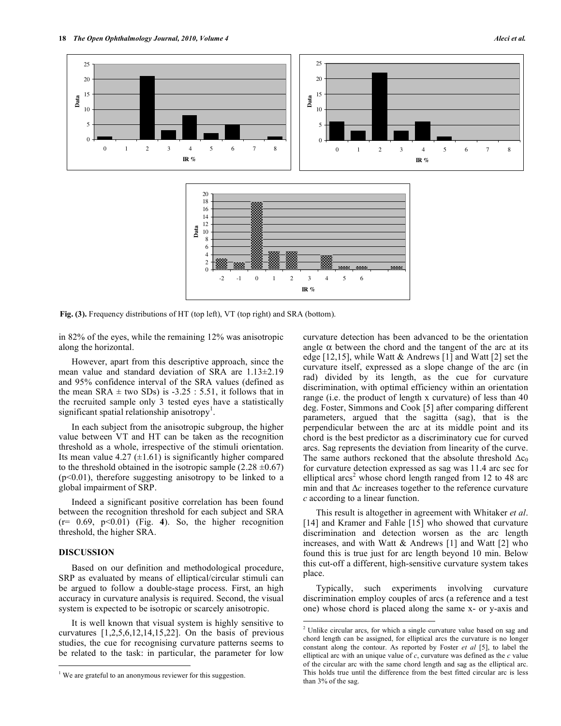

 $\overline{a}$ 

**Fig. (3).** Frequency distributions of HT (top left), VT (top right) and SRA (bottom).

in 82% of the eyes, while the remaining 12% was anisotropic along the horizontal.

 However, apart from this descriptive approach, since the mean value and standard deviation of SRA are 1.13±2.19 and 95% confidence interval of the SRA values (defined as the mean SRA  $\pm$  two SDs) is -3.25 : 5.51, it follows that in the recruited sample only 3 tested eyes have a statistically significant spatial relationship anisotropy<sup>1</sup>.

 In each subject from the anisotropic subgroup, the higher value between VT and HT can be taken as the recognition threshold as a whole, irrespective of the stimuli orientation. Its mean value 4.27  $(\pm 1.61)$  is significantly higher compared to the threshold obtained in the isotropic sample  $(2.28 \pm 0.67)$  $(p<0.01)$ , therefore suggesting anisotropy to be linked to a global impairment of SRP.

 Indeed a significant positive correlation has been found between the recognition threshold for each subject and SRA  $(r= 0.69, p<0.01)$  (Fig. 4). So, the higher recognition threshold, the higher SRA.

# **DISCUSSION**

<u>.</u>

 Based on our definition and methodological procedure, SRP as evaluated by means of elliptical/circular stimuli can be argued to follow a double-stage process. First, an high accuracy in curvature analysis is required. Second, the visual system is expected to be isotropic or scarcely anisotropic.

 It is well known that visual system is highly sensitive to curvatures  $[1,2,5,6,12,14,15,22]$ . On the basis of previous studies, the cue for recognising curvature patterns seems to be related to the task: in particular, the parameter for low

curvature detection has been advanced to be the orientation angle  $\alpha$  between the chord and the tangent of the arc at its edge [12,15], while Watt & Andrews [1] and Watt [2] set the curvature itself, expressed as a slope change of the arc (in rad) divided by its length, as the cue for curvature discrimination, with optimal efficiency within an orientation range (i.e. the product of length x curvature) of less than 40 deg. Foster, Simmons and Cook [5] after comparing different parameters, argued that the sagitta (sag), that is the perpendicular between the arc at its middle point and its chord is the best predictor as a discriminatory cue for curved arcs. Sag represents the deviation from linearity of the curve. The same authors reckoned that the absolute threshold  $\Delta c_0$ for curvature detection expressed as sag was 11.4 arc sec for elliptical  $arcs<sup>2</sup>$  whose chord length ranged from 12 to 48 arc min and that  $\Delta c$  increases together to the reference curvature *c* according to a linear function.

 This result is altogether in agreement with Whitaker *et al*. [14] and Kramer and Fahle [15] who showed that curvature discrimination and detection worsen as the arc length increases, and with Watt & Andrews [1] and Watt [2] who found this is true just for arc length beyond 10 min. Below this cut-off a different, high-sensitive curvature system takes place.

 Typically, such experiments involving curvature discrimination employ couples of arcs (a reference and a test one) whose chord is placed along the same x- or y-axis and

<sup>&</sup>lt;sup>1</sup> We are grateful to an anonymous reviewer for this suggestion.

<sup>&</sup>lt;sup>2</sup> Unlike circular arcs, for which a single curvature value based on sag and chord length can be assigned, for elliptical arcs the curvature is no longer constant along the contour. As reported by Foster *et al* [5], to label the elliptical arc with an unique value of *c*, curvature was defined as the *c* value of the circular arc with the same chord length and sag as the elliptical arc. This holds true until the difference from the best fitted circular arc is less than 3% of the sag.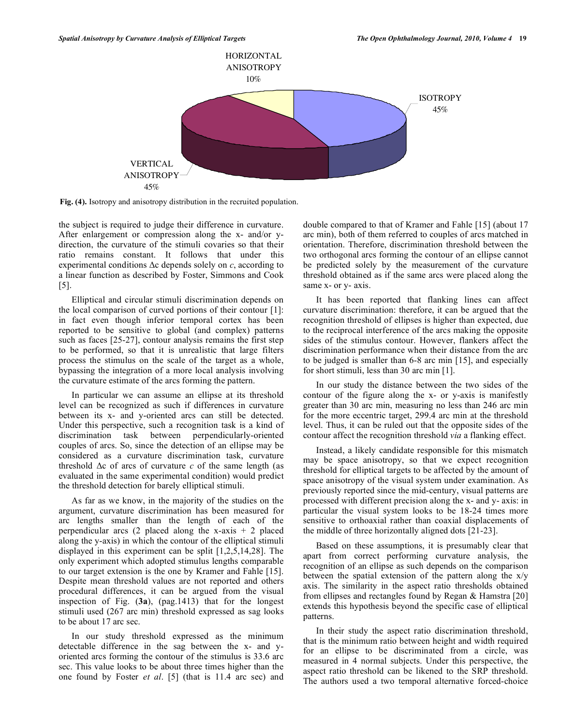

**Fig. (4).** Isotropy and anisotropy distribution in the recruited population.

the subject is required to judge their difference in curvature. After enlargement or compression along the x- and/or ydirection, the curvature of the stimuli covaries so that their ratio remains constant. It follows that under this experimental conditions  $\Delta c$  depends solely on *c*, according to a linear function as described by Foster, Simmons and Cook [5].

 Elliptical and circular stimuli discrimination depends on the local comparison of curved portions of their contour [1]: in fact even though inferior temporal cortex has been reported to be sensitive to global (and complex) patterns such as faces [25-27], contour analysis remains the first step to be performed, so that it is unrealistic that large filters process the stimulus on the scale of the target as a whole, bypassing the integration of a more local analysis involving the curvature estimate of the arcs forming the pattern.

 In particular we can assume an ellipse at its threshold level can be recognized as such if differences in curvature between its x- and y-oriented arcs can still be detected. Under this perspective, such a recognition task is a kind of discrimination task between perpendicularly-oriented couples of arcs. So, since the detection of an ellipse may be considered as a curvature discrimination task, curvature threshold  $\Delta c$  of arcs of curvature *c* of the same length (as evaluated in the same experimental condition) would predict the threshold detection for barely elliptical stimuli.

 As far as we know, in the majority of the studies on the argument, curvature discrimination has been measured for arc lengths smaller than the length of each of the perpendicular arcs  $(2 \text{ placed along the x-axis } + 2 \text{ placed})$ along the y-axis) in which the contour of the elliptical stimuli displayed in this experiment can be split [1,2,5,14,28]. The only experiment which adopted stimulus lengths comparable to our target extension is the one by Kramer and Fahle [15]. Despite mean threshold values are not reported and others procedural differences, it can be argued from the visual inspection of Fig. (**3a**), (pag.1413) that for the longest stimuli used (267 arc min) threshold expressed as sag looks to be about 17 arc sec.

 In our study threshold expressed as the minimum detectable difference in the sag between the x- and yoriented arcs forming the contour of the stimulus is 33.6 arc sec. This value looks to be about three times higher than the one found by Foster *et al*. [5] (that is 11.4 arc sec) and

double compared to that of Kramer and Fahle [15] (about 17 arc min), both of them referred to couples of arcs matched in orientation. Therefore, discrimination threshold between the two orthogonal arcs forming the contour of an ellipse cannot be predicted solely by the measurement of the curvature threshold obtained as if the same arcs were placed along the same x- or y- axis.

 It has been reported that flanking lines can affect curvature discrimination: therefore, it can be argued that the recognition threshold of ellipses is higher than expected, due to the reciprocal interference of the arcs making the opposite sides of the stimulus contour. However, flankers affect the discrimination performance when their distance from the arc to be judged is smaller than 6-8 arc min [15], and especially for short stimuli, less than 30 arc min [1].

 In our study the distance between the two sides of the contour of the figure along the x- or y-axis is manifestly greater than 30 arc min, measuring no less than 246 arc min for the more eccentric target, 299.4 arc min at the threshold level. Thus, it can be ruled out that the opposite sides of the contour affect the recognition threshold *via* a flanking effect.

 Instead, a likely candidate responsible for this mismatch may be space anisotropy, so that we expect recognition threshold for elliptical targets to be affected by the amount of space anisotropy of the visual system under examination. As previously reported since the mid-century, visual patterns are processed with different precision along the x- and y- axis: in particular the visual system looks to be 18-24 times more sensitive to orthoaxial rather than coaxial displacements of the middle of three horizontally aligned dots [21-23].

 Based on these assumptions, it is presumably clear that apart from correct performing curvature analysis, the recognition of an ellipse as such depends on the comparison between the spatial extension of the pattern along the x/y axis. The similarity in the aspect ratio thresholds obtained from ellipses and rectangles found by Regan & Hamstra [20] extends this hypothesis beyond the specific case of elliptical patterns.

 In their study the aspect ratio discrimination threshold, that is the minimum ratio between height and width required for an ellipse to be discriminated from a circle, was measured in 4 normal subjects. Under this perspective, the aspect ratio threshold can be likened to the SRP threshold. The authors used a two temporal alternative forced-choice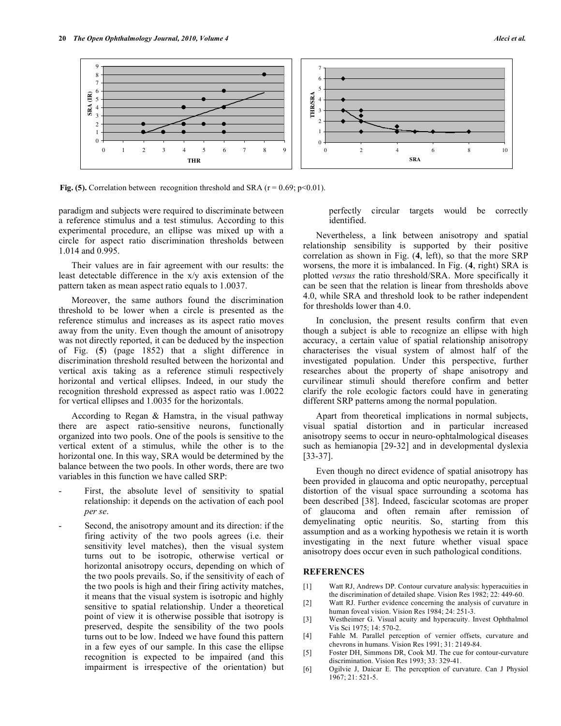

**Fig. (5).** Correlation between recognition threshold and SRA ( $r = 0.69$ ;  $p < 0.01$ ).

paradigm and subjects were required to discriminate between a reference stimulus and a test stimulus. According to this experimental procedure, an ellipse was mixed up with a circle for aspect ratio discrimination thresholds between 1.014 and 0.995.

 Their values are in fair agreement with our results: the least detectable difference in the x/y axis extension of the pattern taken as mean aspect ratio equals to 1.0037.

 Moreover, the same authors found the discrimination threshold to be lower when a circle is presented as the reference stimulus and increases as its aspect ratio moves away from the unity. Even though the amount of anisotropy was not directly reported, it can be deduced by the inspection of Fig. (**5**) (page 1852) that a slight difference in discrimination threshold resulted between the horizontal and vertical axis taking as a reference stimuli respectively horizontal and vertical ellipses. Indeed, in our study the recognition threshold expressed as aspect ratio was 1.0022 for vertical ellipses and 1.0035 for the horizontals.

 According to Regan & Hamstra, in the visual pathway there are aspect ratio-sensitive neurons, functionally organized into two pools. One of the pools is sensitive to the vertical extent of a stimulus, while the other is to the horizontal one. In this way, SRA would be determined by the balance between the two pools. In other words, there are two variables in this function we have called SRP:

- First, the absolute level of sensitivity to spatial relationship: it depends on the activation of each pool *per se*.
- Second, the anisotropy amount and its direction: if the firing activity of the two pools agrees (i.e. their sensitivity level matches), then the visual system turns out to be isotropic, otherwise vertical or horizontal anisotropy occurs, depending on which of the two pools prevails. So, if the sensitivity of each of the two pools is high and their firing activity matches, it means that the visual system is isotropic and highly sensitive to spatial relationship. Under a theoretical point of view it is otherwise possible that isotropy is preserved, despite the sensibility of the two pools turns out to be low. Indeed we have found this pattern in a few eyes of our sample. In this case the ellipse recognition is expected to be impaired (and this impairment is irrespective of the orientation) but

perfectly circular targets would be correctly identified.

 Nevertheless, a link between anisotropy and spatial relationship sensibility is supported by their positive correlation as shown in Fig. (**4**, left), so that the more SRP worsens, the more it is imbalanced. In Fig. (**4**, right) SRA is plotted *versus* the ratio threshold/SRA. More specifically it can be seen that the relation is linear from thresholds above 4.0, while SRA and threshold look to be rather independent for thresholds lower than 4.0.

 In conclusion, the present results confirm that even though a subject is able to recognize an ellipse with high accuracy, a certain value of spatial relationship anisotropy characterises the visual system of almost half of the investigated population. Under this perspective, further researches about the property of shape anisotropy and curvilinear stimuli should therefore confirm and better clarify the role ecologic factors could have in generating different SRP patterns among the normal population.

 Apart from theoretical implications in normal subjects, visual spatial distortion and in particular increased anisotropy seems to occur in neuro-ophtalmological diseases such as hemianopia [29-32] and in developmental dyslexia [33-37].

 Even though no direct evidence of spatial anisotropy has been provided in glaucoma and optic neuropathy, perceptual distortion of the visual space surrounding a scotoma has been described [38]. Indeed, fascicular scotomas are proper of glaucoma and often remain after remission of demyelinating optic neuritis. So, starting from this assumption and as a working hypothesis we retain it is worth investigating in the next future whether visual space anisotropy does occur even in such pathological conditions.

### **REFERENCES**

- [1] Watt RJ, Andrews DP. Contour curvature analysis: hyperacuities in the discrimination of detailed shape. Vision Res 1982; 22: 449-60.
- [2] Watt RJ. Further evidence concerning the analysis of curvature in human foveal vision. Vision Res 1984; 24: 251-3.
- [3] Westheimer G. Visual acuity and hyperacuity. Invest Ophthalmol Vis Sci 1975; 14: 570-2.
- [4] Fahle M. Parallel perception of vernier offsets, curvature and chevrons in humans. Vision Res 1991; 31: 2149-84.
- [5] Foster DH, Simmons DR, Cook MJ. The cue for contour-curvature discrimination. Vision Res 1993; 33: 329-41.
- [6] Ogilvie J, Daicar E. The perception of curvature. Can J Physiol 1967; 21: 521-5.